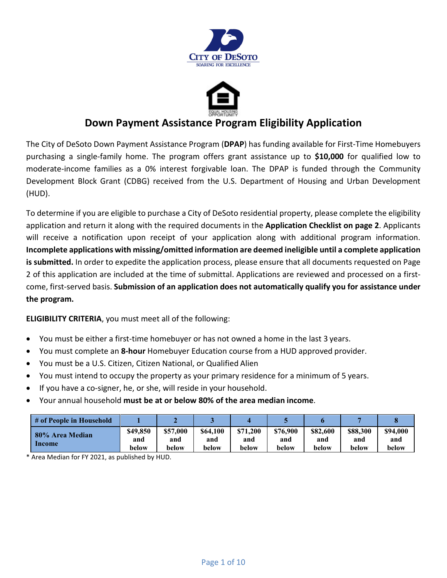



## **Down Payment Assistance Program Eligibility Application**

The City of DeSoto Down Payment Assistance Program (**DPAP**) has funding available for First-Time Homebuyers purchasing a single-family home. The program offers grant assistance up to **\$10,000** for qualified low to moderate-income families as a 0% interest forgivable loan. The DPAP is funded through the Community Development Block Grant (CDBG) received from the U.S. Department of Housing and Urban Development (HUD).

To determine if you are eligible to purchase a City of DeSoto residential property, please complete the eligibility application and return it along with the required documents in the **Application Checklist on page 2**. Applicants will receive a notification upon receipt of your application along with additional program information. **Incomplete applications with missing/omitted information are deemed ineligible until a complete application is submitted.** In order to expedite the application process, please ensure that all documents requested on Page 2 of this application are included at the time of submittal. Applications are reviewed and processed on a firstcome, first-served basis. **Submission of an application does not automatically qualify you for assistance under the program.**

**ELIGIBILITY CRITERIA**, you must meet all of the following:

- You must be either a first-time homebuyer or has not owned a home in the last 3 years.
- You must complete an **8-hour** Homebuyer Education course from a HUD approved provider.
- You must be a U.S. Citizen, Citizen National, or Qualified Alien
- You must intend to occupy the property as your primary residence for a minimum of 5 years.
- If you have a co-signer, he, or she, will reside in your household.
- Your annual household **must be at or below 80% of the area median income**.

| # of People in Household  |                          |                          |                          |                          |                          |                          |                          |                          |
|---------------------------|--------------------------|--------------------------|--------------------------|--------------------------|--------------------------|--------------------------|--------------------------|--------------------------|
| 80% Area Median<br>Income | \$49,850<br>and<br>below | \$57,000<br>and<br>below | \$64,100<br>and<br>below | \$71.200<br>and<br>below | \$76,900<br>and<br>below | \$82,600<br>and<br>below | \$88,300<br>and<br>below | \$94,000<br>and<br>below |

\* Area Median for FY 2021, as published by HUD.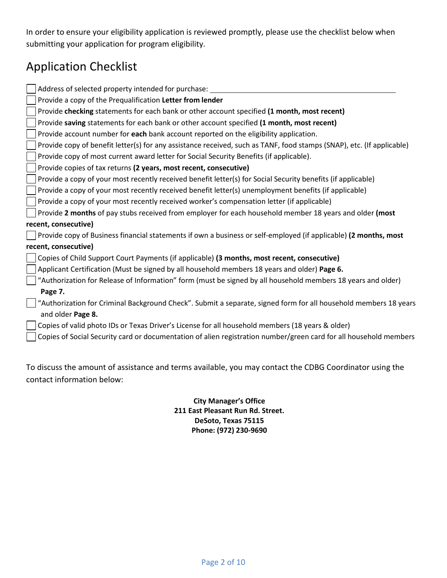In order to ensure your eligibility application is reviewed promptly, please use the checklist below when submitting your application for program eligibility.

# Application Checklist

| Address of selected property intended for purchase:                                                                   |
|-----------------------------------------------------------------------------------------------------------------------|
| Provide a copy of the Prequalification Letter from lender                                                             |
| Provide checking statements for each bank or other account specified (1 month, most recent)                           |
| Provide saving statements for each bank or other account specified (1 month, most recent)                             |
| Provide account number for each bank account reported on the eligibility application.                                 |
| Provide copy of benefit letter(s) for any assistance received, such as TANF, food stamps (SNAP), etc. (If applicable) |
| Provide copy of most current award letter for Social Security Benefits (if applicable).                               |
| Provide copies of tax returns (2 years, most recent, consecutive)                                                     |
| Provide a copy of your most recently received benefit letter(s) for Social Security benefits (if applicable)          |
| Provide a copy of your most recently received benefit letter(s) unemployment benefits (if applicable)                 |
| Provide a copy of your most recently received worker's compensation letter (if applicable)                            |
| Provide 2 months of pay stubs received from employer for each household member 18 years and older (most               |
| recent, consecutive)                                                                                                  |
| Provide copy of Business financial statements if own a business or self-employed (if applicable) (2 months, most      |
| recent, consecutive)                                                                                                  |
| Copies of Child Support Court Payments (if applicable) (3 months, most recent, consecutive)                           |
| Applicant Certification (Must be signed by all household members 18 years and older) Page 6.                          |
| "Authorization for Release of Information" form (must be signed by all household members 18 years and older)          |
| Page 7.                                                                                                               |
| "Authorization for Criminal Background Check". Submit a separate, signed form for all household members 18 years      |
| and older Page 8.                                                                                                     |
| Copies of valid photo IDs or Texas Driver's License for all household members (18 years & older)                      |
| Copies of Social Security card or documentation of alien registration number/green card for all household members     |
|                                                                                                                       |
|                                                                                                                       |

To discuss the amount of assistance and terms available, you may contact the CDBG Coordinator using the contact information below:

> **City Manager's Office 211 East Pleasant Run Rd. Street. DeSoto, Texas 75115 Phone: (972) 230-9690**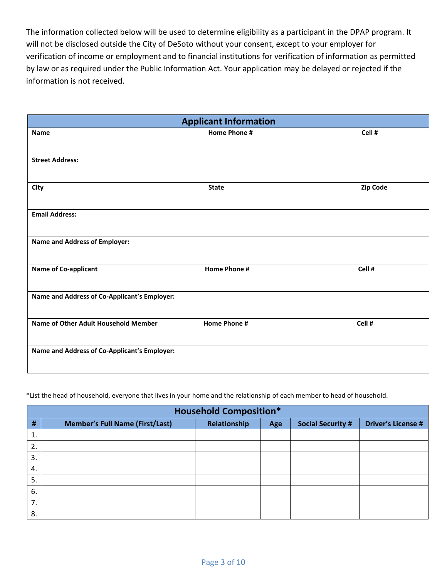The information collected below will be used to determine eligibility as a participant in the DPAP program. It will not be disclosed outside the City of DeSoto without your consent, except to your employer for verification of income or employment and to financial institutions for verification of information as permitted by law or as required under the Public Information Act. Your application may be delayed or rejected if the information is not received.

|                                              | <b>Applicant Information</b> |          |  |  |
|----------------------------------------------|------------------------------|----------|--|--|
| <b>Name</b>                                  | Home Phone #                 | Cell #   |  |  |
|                                              |                              |          |  |  |
| <b>Street Address:</b>                       |                              |          |  |  |
|                                              |                              |          |  |  |
| City                                         | <b>State</b>                 | Zip Code |  |  |
|                                              |                              |          |  |  |
| <b>Email Address:</b>                        |                              |          |  |  |
| <b>Name and Address of Employer:</b>         |                              |          |  |  |
|                                              |                              |          |  |  |
| <b>Name of Co-applicant</b>                  | <b>Home Phone #</b>          | Cell #   |  |  |
|                                              |                              |          |  |  |
| Name and Address of Co-Applicant's Employer: |                              |          |  |  |
|                                              |                              |          |  |  |
| Name of Other Adult Household Member         | <b>Home Phone #</b>          | Cell #   |  |  |
|                                              |                              |          |  |  |
| Name and Address of Co-Applicant's Employer: |                              |          |  |  |
|                                              |                              |          |  |  |

\*List the head of household, everyone that lives in your home and the relationship of each member to head of household.

|    | <b>Household Composition*</b>                                                                                          |  |  |  |  |  |  |
|----|------------------------------------------------------------------------------------------------------------------------|--|--|--|--|--|--|
| #  | <b>Driver's License #</b><br>Relationship<br><b>Member's Full Name (First/Last)</b><br><b>Social Security #</b><br>Age |  |  |  |  |  |  |
| 1. |                                                                                                                        |  |  |  |  |  |  |
| 2. |                                                                                                                        |  |  |  |  |  |  |
| 3. |                                                                                                                        |  |  |  |  |  |  |
| 4. |                                                                                                                        |  |  |  |  |  |  |
| 5. |                                                                                                                        |  |  |  |  |  |  |
| 6. |                                                                                                                        |  |  |  |  |  |  |
| 7. |                                                                                                                        |  |  |  |  |  |  |
| 8. |                                                                                                                        |  |  |  |  |  |  |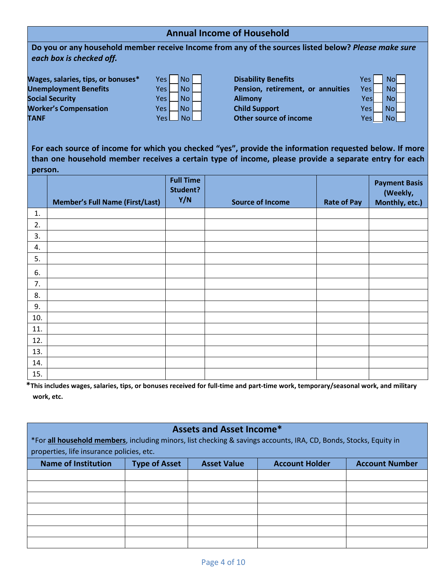## **Annual Income of Household**

**Do you or any household member receive Income from any of the sources listed below?** *Please make sure each box is checked off.*

**Wages, salaries, tips, or bonuses\*** Yes No **No Constant Disability Benefits Social Security CONSIDERITY** Yes  $\Box$  No  $\Box$  **Alimony Worker's Compensation Yes**  $\Box$  No  $\Box$  **Child Support TANF TANF Yes No. 2008 Other source of income** 

| Yes | No |  |
|-----|----|--|
| Yes | No |  |
| Yes | No |  |
| Yes | No |  |
| Υρς | No |  |

**Unemployment Benefits** Yes No **Pension, retirement, or annuities** 

| 'es | No        |  |
|-----|-----------|--|
| /es | No        |  |
| Yes | <b>No</b> |  |
| Yes | No        |  |
| Yes | <b>No</b> |  |
|     |           |  |

**For each source of income for which you checked "yes", provide the information requested below. If more than one household member receives a certain type of income, please provide a separate entry for each person.**

|     | <b>Member's Full Name (First/Last)</b> | <b>Full Time</b><br>Student?<br>Y/N | <b>Source of Income</b> | <b>Rate of Pay</b> | <b>Payment Basis</b><br>(Weekly,<br>Monthly, etc.) |
|-----|----------------------------------------|-------------------------------------|-------------------------|--------------------|----------------------------------------------------|
| 1.  |                                        |                                     |                         |                    |                                                    |
| 2.  |                                        |                                     |                         |                    |                                                    |
| 3.  |                                        |                                     |                         |                    |                                                    |
| 4.  |                                        |                                     |                         |                    |                                                    |
| 5.  |                                        |                                     |                         |                    |                                                    |
| 6.  |                                        |                                     |                         |                    |                                                    |
| 7.  |                                        |                                     |                         |                    |                                                    |
| 8.  |                                        |                                     |                         |                    |                                                    |
| 9.  |                                        |                                     |                         |                    |                                                    |
| 10. |                                        |                                     |                         |                    |                                                    |
| 11. |                                        |                                     |                         |                    |                                                    |
| 12. |                                        |                                     |                         |                    |                                                    |
| 13. |                                        |                                     |                         |                    |                                                    |
| 14. |                                        |                                     |                         |                    |                                                    |
| 15. |                                        |                                     |                         |                    |                                                    |

**\*This includes wages, salaries, tips, or bonuses received for full-time and part-time work, temporary/seasonal work, and military work, etc.**

|                                                                                                                   |                      | <b>Assets and Asset Income*</b> |                       |                       |
|-------------------------------------------------------------------------------------------------------------------|----------------------|---------------------------------|-----------------------|-----------------------|
| *For all household members, including minors, list checking & savings accounts, IRA, CD, Bonds, Stocks, Equity in |                      |                                 |                       |                       |
| properties, life insurance policies, etc.                                                                         |                      |                                 |                       |                       |
| <b>Name of Institution</b>                                                                                        | <b>Type of Asset</b> | <b>Asset Value</b>              | <b>Account Holder</b> | <b>Account Number</b> |
|                                                                                                                   |                      |                                 |                       |                       |
|                                                                                                                   |                      |                                 |                       |                       |
|                                                                                                                   |                      |                                 |                       |                       |
|                                                                                                                   |                      |                                 |                       |                       |
|                                                                                                                   |                      |                                 |                       |                       |
|                                                                                                                   |                      |                                 |                       |                       |
|                                                                                                                   |                      |                                 |                       |                       |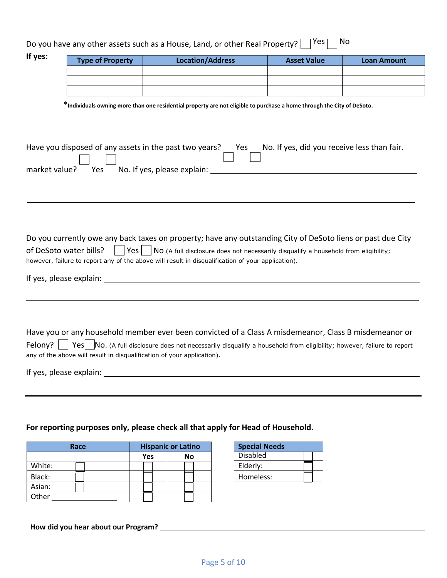| Do you have any other assets such as a House, Land, or other Real Property? $\Box$ Yes $\Box$ No |  |
|--------------------------------------------------------------------------------------------------|--|
|--------------------------------------------------------------------------------------------------|--|

| *Individuals owning more than one residential property are not eligible to purchase a home through the City of DeSoto.<br>Have you disposed of any assets in the past two years? Yes No. If yes, did you receive less than fair.<br>market value?<br>Yes No. If yes, please explain:<br>Do you currently owe any back taxes on property; have any outstanding City of DeSoto liens or past due City<br>$\sqrt{Yes}$ No (A full disclosure does not necessarily disqualify a household from eligibility;<br>of DeSoto water bills?<br>a katika M<br>however, failure to report any of the above will result in disqualification of your application).<br>If yes, please explain: 100 million and the state of the state of the state of the state of the state of the state of the state of the state of the state of the state of the state of the state of the state of the state of | <b>Loan Amount</b> |
|---------------------------------------------------------------------------------------------------------------------------------------------------------------------------------------------------------------------------------------------------------------------------------------------------------------------------------------------------------------------------------------------------------------------------------------------------------------------------------------------------------------------------------------------------------------------------------------------------------------------------------------------------------------------------------------------------------------------------------------------------------------------------------------------------------------------------------------------------------------------------------------|--------------------|
|                                                                                                                                                                                                                                                                                                                                                                                                                                                                                                                                                                                                                                                                                                                                                                                                                                                                                       |                    |
|                                                                                                                                                                                                                                                                                                                                                                                                                                                                                                                                                                                                                                                                                                                                                                                                                                                                                       |                    |
|                                                                                                                                                                                                                                                                                                                                                                                                                                                                                                                                                                                                                                                                                                                                                                                                                                                                                       |                    |
|                                                                                                                                                                                                                                                                                                                                                                                                                                                                                                                                                                                                                                                                                                                                                                                                                                                                                       |                    |
|                                                                                                                                                                                                                                                                                                                                                                                                                                                                                                                                                                                                                                                                                                                                                                                                                                                                                       |                    |
|                                                                                                                                                                                                                                                                                                                                                                                                                                                                                                                                                                                                                                                                                                                                                                                                                                                                                       |                    |
|                                                                                                                                                                                                                                                                                                                                                                                                                                                                                                                                                                                                                                                                                                                                                                                                                                                                                       |                    |
|                                                                                                                                                                                                                                                                                                                                                                                                                                                                                                                                                                                                                                                                                                                                                                                                                                                                                       |                    |
|                                                                                                                                                                                                                                                                                                                                                                                                                                                                                                                                                                                                                                                                                                                                                                                                                                                                                       |                    |
|                                                                                                                                                                                                                                                                                                                                                                                                                                                                                                                                                                                                                                                                                                                                                                                                                                                                                       |                    |
|                                                                                                                                                                                                                                                                                                                                                                                                                                                                                                                                                                                                                                                                                                                                                                                                                                                                                       |                    |
|                                                                                                                                                                                                                                                                                                                                                                                                                                                                                                                                                                                                                                                                                                                                                                                                                                                                                       |                    |
|                                                                                                                                                                                                                                                                                                                                                                                                                                                                                                                                                                                                                                                                                                                                                                                                                                                                                       |                    |
|                                                                                                                                                                                                                                                                                                                                                                                                                                                                                                                                                                                                                                                                                                                                                                                                                                                                                       |                    |
|                                                                                                                                                                                                                                                                                                                                                                                                                                                                                                                                                                                                                                                                                                                                                                                                                                                                                       |                    |
|                                                                                                                                                                                                                                                                                                                                                                                                                                                                                                                                                                                                                                                                                                                                                                                                                                                                                       |                    |
|                                                                                                                                                                                                                                                                                                                                                                                                                                                                                                                                                                                                                                                                                                                                                                                                                                                                                       |                    |
|                                                                                                                                                                                                                                                                                                                                                                                                                                                                                                                                                                                                                                                                                                                                                                                                                                                                                       |                    |
|                                                                                                                                                                                                                                                                                                                                                                                                                                                                                                                                                                                                                                                                                                                                                                                                                                                                                       |                    |
|                                                                                                                                                                                                                                                                                                                                                                                                                                                                                                                                                                                                                                                                                                                                                                                                                                                                                       |                    |

Have you or any household member ever been convicted of a Class A misdemeanor, Class B misdemeanor or Felony?  $\Box$  Yes No. (A full disclosure does not necessarily disqualify a household from eligibility; however, failure to report any of the above will result in disqualification of your application).

If yes, please explain:

## **For reporting purposes only, please check all that apply for Head of Household.**

| Race   | <b>Hispanic or Latino</b> |           |  |  |
|--------|---------------------------|-----------|--|--|
|        | Yes                       | <b>No</b> |  |  |
| White: |                           |           |  |  |
| Black: |                           |           |  |  |
| Asian: |                           |           |  |  |
| Other  |                           |           |  |  |

| <b>Special Needs</b> |  |
|----------------------|--|
| <b>Disabled</b>      |  |
| Elderly:             |  |
| Homeless:            |  |

**How did you hear about our Program?**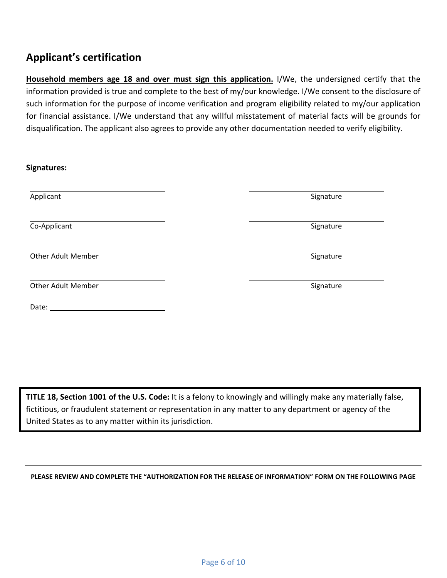## **Applicant's certification**

**Household members age 18 and over must sign this application.** I/We, the undersigned certify that the information provided is true and complete to the best of my/our knowledge. I/We consent to the disclosure of such information for the purpose of income verification and program eligibility related to my/our application for financial assistance. I/We understand that any willful misstatement of material facts will be grounds for disqualification. The applicant also agrees to provide any other documentation needed to verify eligibility.

| Signatures:               |           |
|---------------------------|-----------|
| Applicant                 | Signature |
| Co-Applicant              | Signature |
| <b>Other Adult Member</b> | Signature |
| <b>Other Adult Member</b> | Signature |
| Date:                     |           |

**TITLE 18, Section 1001 of the U.S. Code:** It is a felony to knowingly and willingly make any materially false, fictitious, or fraudulent statement or representation in any matter to any department or agency of the United States as to any matter within its jurisdiction.

**PLEASE REVIEW AND COMPLETE THE "AUTHORIZATION FOR THE RELEASE OF INFORMATION" FORM ON THE FOLLOWING PAGE**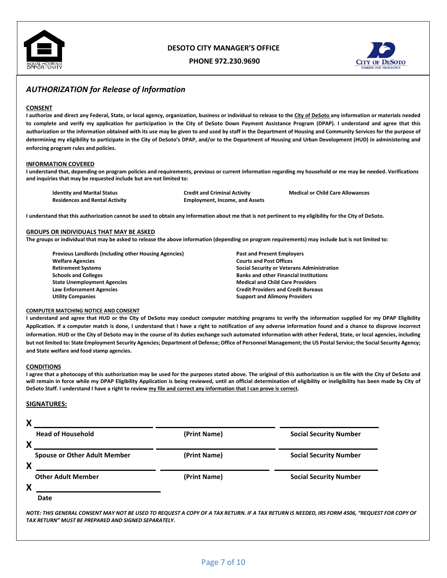

## **DESOTO CITY MANAGER'S OFFICE**

**PHONE 972.230.9690**



## *AUTHORIZATION for Release of Information*

#### **CONSENT**

**I authorize and direct any Federal, State, or local agency, organization, business or individual to release to the City of DeSoto any information or materials needed to complete and verify my application for participation in the City of DeSoto Down Payment Assistance Program (DPAP). I understand and agree that this authorization or the information obtained with its use may be given to and used by staff in the Department of Housing and Community Services for the purpose of determining my eligibility to participate in the City of DeSoto's DPAP, and/or to the Department of Housing and Urban Development (HUD) in administering and enforcing program rules and policies.**

#### **INFORMATION COVERED**

**I understand that, depending on program policies and requirements, previous or current information regarding my household or me may be needed. Verifications and inquiries that may be requested include but are not limited to:**

| <b>Identity and Marital Status</b>    |
|---------------------------------------|
| <b>Residences and Rental Activity</b> |

**Employment, Income, and Assets** 

**Identity and Marital Status Credit and Criminal Activity Medical or Child Care Allowances**

**I understand that this authorization cannot be used to obtain any information about me that is not pertinent to my eligibility for the City of DeSoto.**

#### **GROUPS OR INDIVIDUALS THAT MAY BE ASKED**

**The groups or individual that may be asked to release the above information (depending on program requirements) may include but is not limited to:**

**Previous Landlords (including other Housing Agencies) Past and Present Employers Welfare Agencies Courts and Post Offices Schools and Colleges Banks and other Financial Institutions State Unemployment Agencies Medical and Child Care Providers Law Enforcement Agencies Credit Providers and Credit Bureaus**

**Retirement Systems Social Security or Veterans Administration Support and Alimony Providers** 

#### **COMPUTER MATCHING NOTICE AND CONSENT**

**I understand and agree that HUD or the City of DeSoto may conduct computer matching programs to verify the information supplied for my DPAP Eligibility Application. If a computer match is done, I understand that I have a right to notification of any adverse information found and a chance to disprove incorrect information. HUD or the City of DeSoto may in the course of its duties exchange such automated information with other Federal, State, or local agencies, including but not limited to: State Employment Security Agencies; Department of Defense; Office of Personnel Management; the US Postal Service; the Social Security Agency; and State welfare and food stamp agencies.**

#### **CONDITIONS**

**I agree that a photocopy of this authorization may be used for the purposes stated above. The original of this authorization is on file with the City of DeSoto and**  will remain in force while my DPAP Eligibility Application is being reviewed, until an official determination of eligibility or ineligibility has been made by City of **DeSoto Staff. I understand I have a right to review my file and correct any information that I can prove is correct.**

#### **SIGNATURES:**

### **X**

|   | <b>Head of Household</b>            | (Print Name) | <b>Social Security Number</b> |
|---|-------------------------------------|--------------|-------------------------------|
| X | <b>Spouse or Other Adult Member</b> | (Print Name) | <b>Social Security Number</b> |
| X | <b>Other Adult Member</b>           | (Print Name) | <b>Social Security Number</b> |
| X |                                     |              |                               |
|   | Date                                |              |                               |

*NOTE: THIS GENERAL CONSENT MAY NOT BE USED TO REQUEST A COPY OF A TAX RETURN. IF A TAX RETURN IS NEEDED, IRS FORM 4506, "REQUEST FOR COPY OF TAX RETURN" MUST BE PREPARED AND SIGNED SEPARATELY.*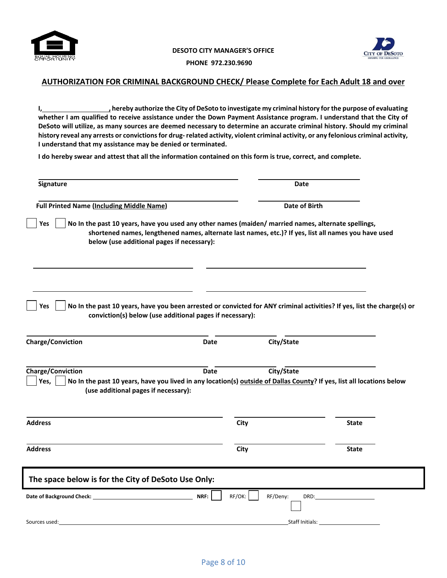



**PHONE 972.230.9690**

### **AUTHORIZATION FOR CRIMINAL BACKGROUND CHECK/ Please Complete for Each Adult 18 and over**

**I, , hereby authorize the City of DeSoto to investigate my criminal history for the purpose of evaluating whether I am qualified to receive assistance under the Down Payment Assistance program. I understand that the City of DeSoto will utilize, as many sources are deemed necessary to determine an accurate criminal history. Should my criminal history reveal any arrests or convictions for drug-related activity, violent criminal activity, or any felonious criminal activity, I understand that my assistance may be denied or terminated.**

**I do hereby swear and attest that all the information contained on this form is true, correct, and complete.**

| Signature                                                                |                                                                                                                                                                                                             | Date             |                                                                                                                         |
|--------------------------------------------------------------------------|-------------------------------------------------------------------------------------------------------------------------------------------------------------------------------------------------------------|------------------|-------------------------------------------------------------------------------------------------------------------------|
| <b>Full Printed Name (Including Middle Name)</b>                         |                                                                                                                                                                                                             | Date of Birth    |                                                                                                                         |
| Yes<br>below (use additional pages if necessary):                        | No In the past 10 years, have you used any other names (maiden/ married names, alternate spellings,<br>shortened names, lengthened names, alternate last names, etc.)? If yes, list all names you have used |                  |                                                                                                                         |
| Yes                                                                      | conviction(s) below (use additional pages if necessary):                                                                                                                                                    |                  | No In the past 10 years, have you been arrested or convicted for ANY criminal activities? If yes, list the charge(s) or |
| <b>Charge/Conviction</b>                                                 | <b>Date</b>                                                                                                                                                                                                 | City/State       |                                                                                                                         |
| <b>Charge/Conviction</b><br>Yes,<br>(use additional pages if necessary): | <b>Date</b><br>No In the past 10 years, have you lived in any location(s) outside of Dallas County? If yes, list all locations below                                                                        | City/State       |                                                                                                                         |
| <b>Address</b>                                                           | City                                                                                                                                                                                                        |                  | <b>State</b>                                                                                                            |
| <b>Address</b>                                                           | City                                                                                                                                                                                                        |                  | <b>State</b>                                                                                                            |
| The space below is for the City of DeSoto Use Only:                      |                                                                                                                                                                                                             |                  |                                                                                                                         |
|                                                                          | RF/OK:<br>NRF:                                                                                                                                                                                              | RF/Deny:<br>DRD: |                                                                                                                         |
| Sources used:                                                            |                                                                                                                                                                                                             | Staff Initials:  |                                                                                                                         |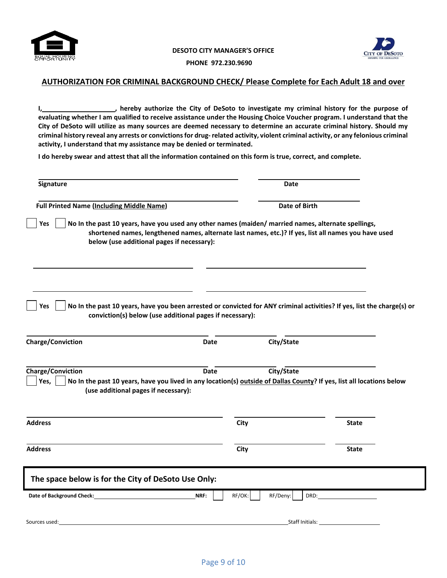



**PHONE 972.230.9690**

### **AUTHORIZATION FOR CRIMINAL BACKGROUND CHECK/ Please Complete for Each Adult 18 and over**

**I, <u><b>Sheeps**</u> interval the City of DeSoto to investigate my criminal history for the purpose of  $\blacksquare$ **evaluating whether I am qualified to receive assistance under the Housing Choice Voucher program. I understand that the City of DeSoto will utilize as many sources are deemed necessary to determine an accurate criminal history. Should my criminal history reveal any arrests or convictions for drug-related activity, violent criminal activity, or any felonious criminal activity, I understand that my assistance may be denied or terminated.**

**I do hereby swear and attest that all the information contained on this form is true, correct, and complete.**

| Signature                                                                                                                                                                                         |                | Date          |                                                                                                                         |
|---------------------------------------------------------------------------------------------------------------------------------------------------------------------------------------------------|----------------|---------------|-------------------------------------------------------------------------------------------------------------------------|
| <b>Full Printed Name (Including Middle Name)</b>                                                                                                                                                  |                | Date of Birth |                                                                                                                         |
| No In the past 10 years, have you used any other names (maiden/ married names, alternate spellings,<br>Yes<br>below (use additional pages if necessary):                                          |                |               | shortened names, lengthened names, alternate last names, etc.)? If yes, list all names you have used                    |
| Yes<br>conviction(s) below (use additional pages if necessary):<br><b>Charge/Conviction</b>                                                                                                       | Date           | City/State    | No In the past 10 years, have you been arrested or convicted for ANY criminal activities? If yes, list the charge(s) or |
|                                                                                                                                                                                                   |                |               |                                                                                                                         |
| <b>Charge/Conviction</b><br>Yes,<br>No In the past 10 years, have you lived in any location(s) outside of Dallas County? If yes, list all locations below<br>(use additional pages if necessary): | Date           | City/State    |                                                                                                                         |
| <b>Address</b>                                                                                                                                                                                    | City           |               | <b>State</b>                                                                                                            |
| <b>Address</b>                                                                                                                                                                                    | City           |               | <b>State</b>                                                                                                            |
| The space below is for the City of DeSoto Use Only:                                                                                                                                               |                |               |                                                                                                                         |
| Date of Background Check: Date of Background Check:                                                                                                                                               | NRF:<br>RF/OK: | RF/Deny:      | DRD:                                                                                                                    |
|                                                                                                                                                                                                   |                |               |                                                                                                                         |